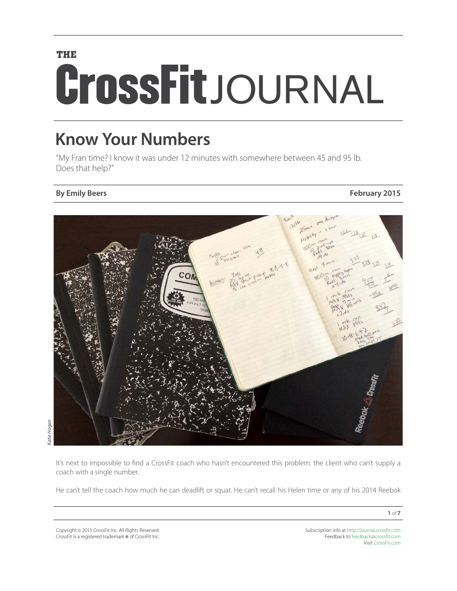# **THE CrossFit**JOURNAL

# **Know Your Numbers**

"My Fran time? I know it was under 12 minutes with somewhere between 45 and 95 lb. Does that help?"

### **By Emily Beers February 2015**



It's next to impossible to find a CrossFit coach who hasn't encountered this problem: the client who can't supply a coach with a single number.

He can't tell the coach how much he can deadlift or squat. He can't recall his Helen time or any of his 2014 Reebok

Copyright © 2015 CrossFit Inc. All Rights Reserved. CrossFit is a registered trademark  $\overset{\sim}{{\mathbf{\sigma}}}$  of CrossFit Inc.

Subscription info at <http://journal.crossfit.com> Feedback to [feedback@crossfit.com](mailto:feedback@crossfit.com) Visit [CrossFit.com](http://www.crossfit.com)

**1** *of* **7**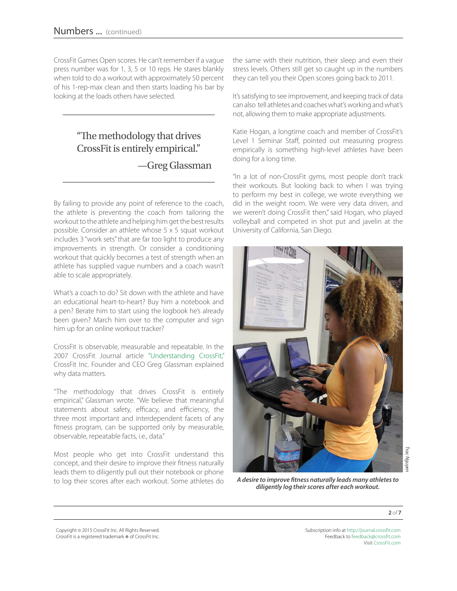CrossFit Games Open scores. He can't remember if a vague press number was for 1, 3, 5 or 10 reps. He stares blankly when told to do a workout with approximately 50 percent of his 1-rep-max clean and then starts loading his bar by looking at the loads others have selected.

# "The methodology that drives CrossFit is entirely empirical."

—Greg Glassman

By failing to provide any point of reference to the coach, the athlete is preventing the coach from tailoring the workout to the athlete and helping him get the best results possible. Consider an athlete whose 5 x 5 squat workout includes 3 "work sets" that are far too light to produce any improvements in strength. Or consider a conditioning workout that quickly becomes a test of strength when an athlete has supplied vague numbers and a coach wasn't able to scale appropriately.

What's a coach to do? Sit down with the athlete and have an educational heart-to-heart? Buy him a notebook and a pen? Berate him to start using the logbook he's already been given? March him over to the computer and sign him up for an online workout tracker?

CrossFit is observable, measurable and repeatable. In the 2007 CrossFit Journal article ["Understanding CrossFit,"](http://journal.crossfit.com/2007/04/understanding-crossfit-by-greg.tpl) CrossFit Inc. Founder and CEO Greg Glassman explained why data matters.

"The methodology that drives CrossFit is entirely empirical," Glassman wrote. "We believe that meaningful statements about safety, efficacy, and efficiency, the three most important and interdependent facets of any fitness program, can be supported only by measurable, observable, repeatable facts, i.e., data."

Most people who get into CrossFit understand this concept, and their desire to improve their fitness naturally leads them to diligently pull out their notebook or phone to log their scores after each workout. Some athletes do

the same with their nutrition, their sleep and even their stress levels. Others still get so caught up in the numbers they can tell you their Open scores going back to 2011.

It's satisfying to see improvement, and keeping track of data can also tell athletes and coaches what's working and what's not, allowing them to make appropriate adjustments.

Katie Hogan, a longtime coach and member of CrossFit's Level 1 Seminar Staff, pointed out measuring progress empirically is something high-level athletes have been doing for a long time.

"In a lot of non-CrossFit gyms, most people don't track their workouts. But looking back to when I was trying to perform my best in college, we wrote everything we did in the weight room. We were very data driven, and we weren't doing CrossFit then," said Hogan, who played volleyball and competed in shot put and javelin at the University of California, San Diego.



*A desire to improve fitness naturally leads many athletes to diligently log their scores after each workout.*

**2** *of* **7**

Copyright © 2015 CrossFit Inc. All Rights Reserved. CrossFit is a registered trademark ® of CrossFit Inc.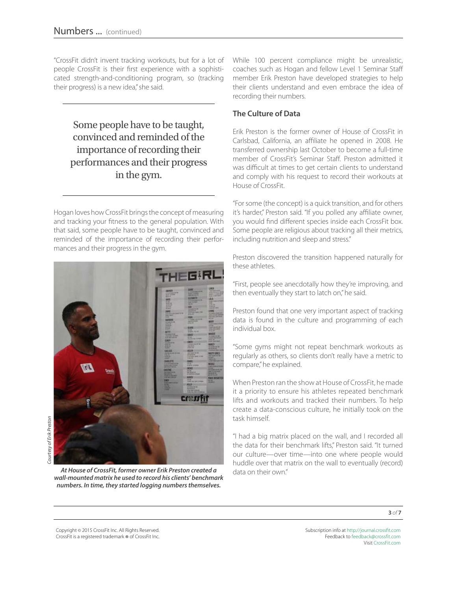"CrossFit didn't invent tracking workouts, but for a lot of people CrossFit is their first experience with a sophisticated strength-and-conditioning program, so (tracking their progress) is a new idea," she said.

Some people have to be taught, convinced and reminded of the importance of recording their performances and their progress in the gym.

Hogan loves how CrossFit brings the concept of measuring and tracking your fitness to the general population. With that said, some people have to be taught, convinced and reminded of the importance of recording their performances and their progress in the gym.



At House of CrossFit, former owner Erik Preston created a data on their own" *wall-mounted matrix he used to record his clients' benchmark numbers. In time, they started logging numbers themselves.* 

While 100 percent compliance might be unrealistic, coaches such as Hogan and fellow Level 1 Seminar Staff member Erik Preston have developed strategies to help their clients understand and even embrace the idea of recording their numbers.

#### **The Culture of Data**

Erik Preston is the former owner of House of CrossFit in Carlsbad, California, an affiliate he opened in 2008. He transferred ownership last October to become a full-time member of CrossFit's Seminar Staff. Preston admitted it was difficult at times to get certain clients to understand and comply with his request to record their workouts at House of CrossFit.

"For some (the concept) is a quick transition, and for others it's harder," Preston said. "If you polled any affiliate owner, you would find different species inside each CrossFit box. Some people are religious about tracking all their metrics, including nutrition and sleep and stress."

Preston discovered the transition happened naturally for these athletes.

"First, people see anecdotally how they're improving, and then eventually they start to latch on," he said.

Preston found that one very important aspect of tracking data is found in the culture and programming of each individual box.

"Some gyms might not repeat benchmark workouts as regularly as others, so clients don't really have a metric to compare," he explained.

When Preston ran the show at House of CrossFit, he made it a priority to ensure his athletes repeated benchmark lifts and workouts and tracked their numbers. To help create a data-conscious culture, he initially took on the task himself.

"I had a big matrix placed on the wall, and I recorded all the data for their benchmark lifts," Preston said. "It turned our culture—over time—into one where people would huddle over that matrix on the wall to eventually (record)

**3** *of* **7**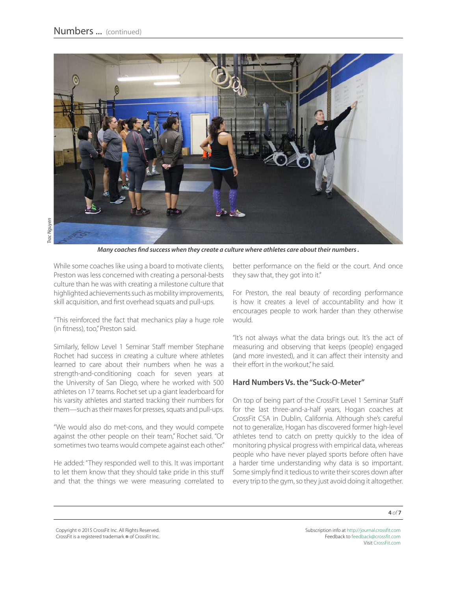

*Many coaches find success when they create a culture where athletes care about their numbers .*

While some coaches like using a board to motivate clients, Preston was less concerned with creating a personal-bests culture than he was with creating a milestone culture that highlighted achievements such as mobility improvements, skill acquisition, and first overhead squats and pull-ups.

"This reinforced the fact that mechanics play a huge role (in fitness), too," Preston said.

Similarly, fellow Level 1 Seminar Staff member Stephane Rochet had success in creating a culture where athletes learned to care about their numbers when he was a strength-and-conditioning coach for seven years at the University of San Diego, where he worked with 500 athletes on 17 teams. Rochet set up a giant leaderboard for his varsity athletes and started tracking their numbers for them—such as their maxes for presses, squats and pull-ups.

"We would also do met-cons, and they would compete against the other people on their team," Rochet said. "Or sometimes two teams would compete against each other."

He added: "They responded well to this. It was important to let them know that they should take pride in this stuff and that the things we were measuring correlated to

better performance on the field or the court. And once they saw that, they got into it."

For Preston, the real beauty of recording performance is how it creates a level of accountability and how it encourages people to work harder than they otherwise would.

"It's not always what the data brings out. It's the act of measuring and observing that keeps (people) engaged (and more invested), and it can affect their intensity and their effort in the workout." he said.

#### **Hard Numbers Vs. the "Suck-O-Meter"**

On top of being part of the CrossFit Level 1 Seminar Staff for the last three-and-a-half years, Hogan coaches at CrossFit CSA in Dublin, California. Although she's careful not to generalize, Hogan has discovered former high-level athletes tend to catch on pretty quickly to the idea of monitoring physical progress with empirical data, whereas people who have never played sports before often have a harder time understanding why data is so important. Some simply find it tedious to write their scores down after every trip to the gym, so they just avoid doing it altogether.

**4** *of* **7**

Copyright © 2015 CrossFit Inc. All Rights Reserved. CrossFit is a registered trademark ® of CrossFit Inc.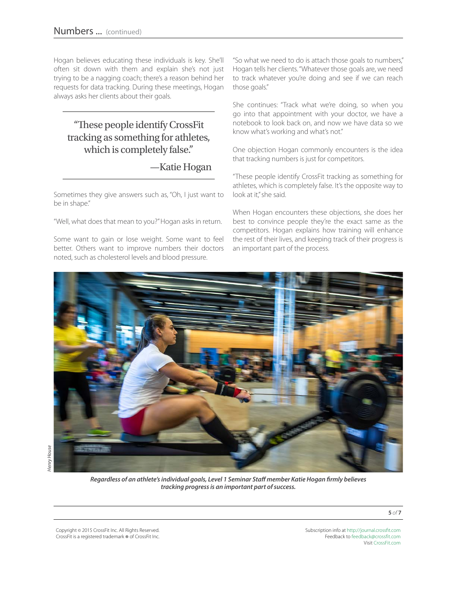Hogan believes educating these individuals is key. She'll often sit down with them and explain she's not just trying to be a nagging coach; there's a reason behind her requests for data tracking. During these meetings, Hogan always asks her clients about their goals.

# "These people identify CrossFit tracking as something for athletes, which is completely false."

## —Katie Hogan

Sometimes they give answers such as, "Oh, I just want to be in shape."

"Well, what does that mean to you?" Hogan asks in return.

Some want to gain or lose weight. Some want to feel better. Others want to improve numbers their doctors noted, such as cholesterol levels and blood pressure.

"So what we need to do is attach those goals to numbers," Hogan tells her clients. "Whatever those goals are, we need to track whatever you're doing and see if we can reach those goals."

She continues: "Track what we're doing, so when you go into that appointment with your doctor, we have a notebook to look back on, and now we have data so we know what's working and what's not."

One objection Hogan commonly encounters is the idea that tracking numbers is just for competitors.

"These people identify CrossFit tracking as something for athletes, which is completely false. It's the opposite way to look at it," she said.

When Hogan encounters these objections, she does her best to convince people they're the exact same as the competitors. Hogan explains how training will enhance the rest of their lives, and keeping track of their progress is an important part of the process.



*Regardless of an athlete's individual goals, Level 1 Seminar Staff member Katie Hogan firmly believes tracking progress is an important part of success.*

Copyright © 2015 CrossFit Inc. All Rights Reserved. CrossFit is a registered trademark ® of CrossFit Inc.

Subscription info at <http://journal.crossfit.com> Feedback to [feedback@crossfit.com](mailto:feedback@crossfit.com) Visit [CrossFit.com](http://www.crossfit.com)

**5** *of* **7**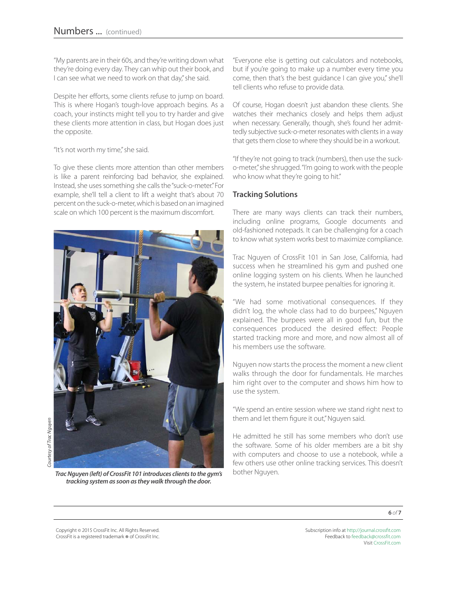"My parents are in their 60s, and they're writing down what they're doing every day. They can whip out their book, and I can see what we need to work on that day," she said.

Despite her efforts, some clients refuse to jump on board. This is where Hogan's tough-love approach begins. As a coach, your instincts might tell you to try harder and give these clients more attention in class, but Hogan does just the opposite.

"It's not worth my time," she said.

To give these clients more attention than other members is like a parent reinforcing bad behavior, she explained. Instead, she uses something she calls the "suck-o-meter." For example, she'll tell a client to lift a weight that's about 70 percent on the suck-o-meter, which is based on an imagined scale on which 100 percent is the maximum discomfort.



*Trac Nguyen (left) of CrossFit 101 introduces clients to the gym's* bother Nguyen. *tracking system as soon as they walk through the door.* 

"Everyone else is getting out calculators and notebooks, but if you're going to make up a number every time you come, then that's the best guidance I can give you," she'll tell clients who refuse to provide data.

Of course, Hogan doesn't just abandon these clients. She watches their mechanics closely and helps them adjust when necessary. Generally, though, she's found her admittedly subjective suck-o-meter resonates with clients in a way that gets them close to where they should be in a workout.

"If they're not going to track (numbers), then use the sucko-meter," she shrugged. "I'm going to work with the people who know what they're going to hit."

#### **Tracking Solutions**

There are many ways clients can track their numbers, including online programs, Google documents and old-fashioned notepads. It can be challenging for a coach to know what system works best to maximize compliance.

Trac Nguyen of CrossFit 101 in San Jose, California, had success when he streamlined his gym and pushed one online logging system on his clients. When he launched the system, he instated burpee penalties for ignoring it.

"We had some motivational consequences. If they didn't log, the whole class had to do burpees," Nguyen explained. The burpees were all in good fun, but the consequences produced the desired effect: People started tracking more and more, and now almost all of his members use the software.

Nguyen now starts the process the moment a new client walks through the door for fundamentals. He marches him right over to the computer and shows him how to use the system.

"We spend an entire session where we stand right next to them and let them figure it out," Nguyen said.

He admitted he still has some members who don't use the software. Some of his older members are a bit shy with computers and choose to use a notebook, while a few others use other online tracking services. This doesn't

**6** *of* **7**

Copyright © 2015 CrossFit Inc. All Rights Reserved. CrossFit is a registered trademark ® of CrossFit Inc.